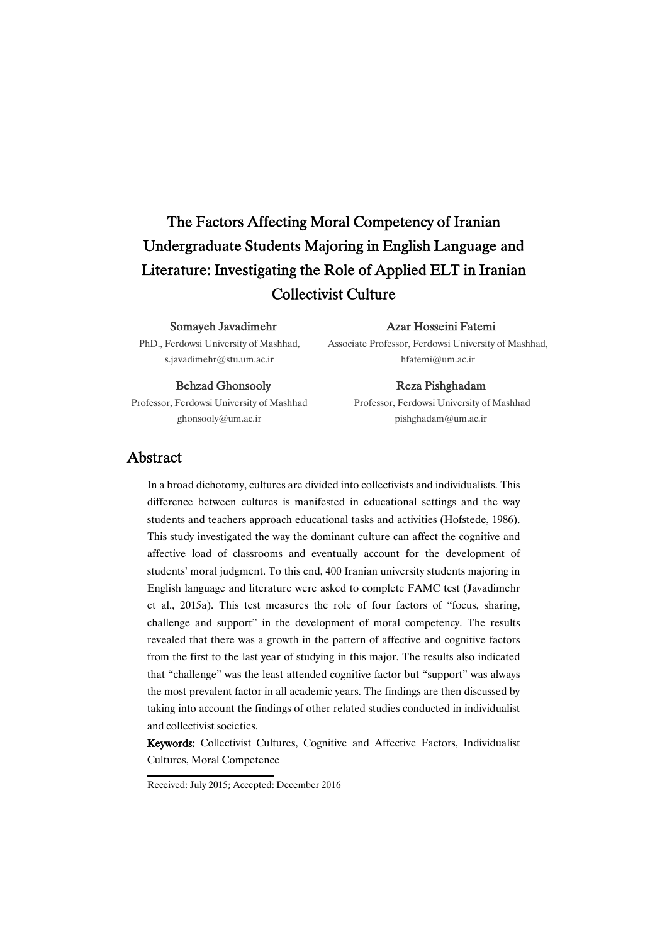# The Factors Affecting Moral Competency of Iranian Undergraduate Students Majoring in English Language and Literature: Investigating the Role of Applied ELT in Iranian Collectivist Culture

### Somayeh Javadimehr

PhD., Ferdowsi University of Mashhad, s.javadimehr@stu.um.ac.ir

### Azar Hosseini Fatemi

Associate Professor, Ferdowsi University of Mashhad, hfatemi@um.ac.ir

#### Behzad Ghonsooly

Professor, Ferdowsi University of Mashhad ghonsooly@um.ac.ir

#### Reza Pishghadam

Professor, Ferdowsi University of Mashhad pishghadam@um.ac.ir

### Abstract

In a broad dichotomy, cultures are divided into collectivists and individualists. This difference between cultures is manifested in educational settings and the way students and teachers approach educational tasks and activities (Hofstede, 1986). This study investigated the way the dominant culture can affect the cognitive and affective load of classrooms and eventually account for the development of students' moral judgment. To this end, 400 Iranian university students majoring in English language and literature were asked to complete FAMC test (Javadimehr et al., 2015a). This test measures the role of four factors of "focus, sharing, challenge and support" in the development of moral competency. The results revealed that there was a growth in the pattern of affective and cognitive factors from the first to the last year of studying in this major. The results also indicated that "challenge" was the least attended cognitive factor but "support" was always the most prevalent factor in all academic years. The findings are then discussed by taking into account the findings of other related studies conducted in individualist and collectivist societies.

Keywords: Collectivist Cultures, Cognitive and Affective Factors, Individualist Cultures, Moral Competence

Received: July 2015; Accepted: December 2016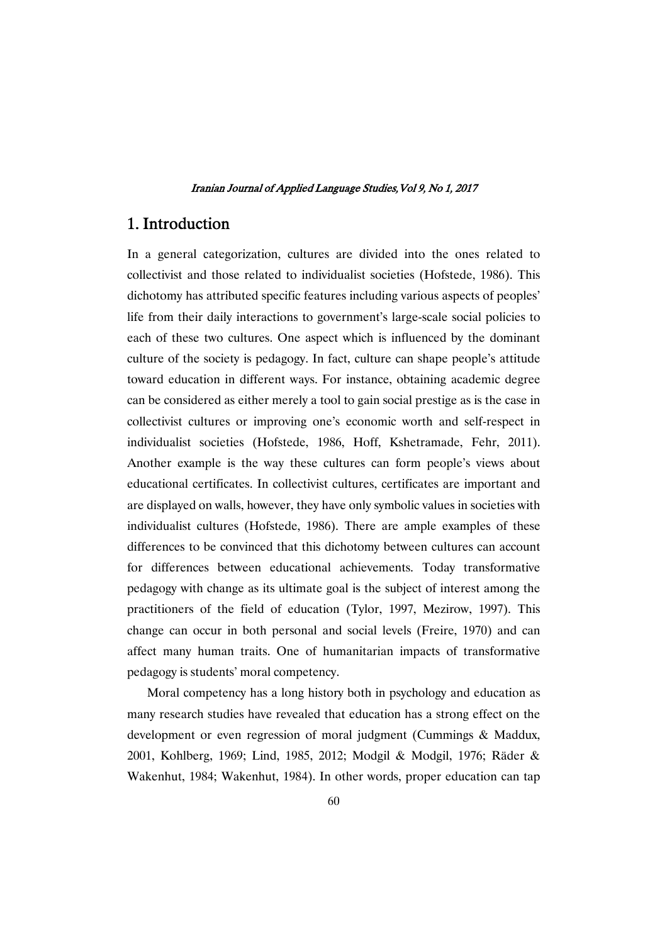# 1.Introduction

In a general categorization, cultures are divided into the ones related to collectivist and those related to individualist societies (Hofstede, 1986). This dichotomy has attributed specific features including various aspects of peoples' life from their daily interactions to government's large-scale social policies to each of these two cultures. One aspect which is influenced by the dominant culture of the society is pedagogy. In fact, culture can shape people's attitude toward education in different ways. For instance, obtaining academic degree can be considered as either merely a tool to gain social prestige as is the case in collectivist cultures or improving one's economic worth and self-respect in individualist societies (Hofstede, 1986, Hoff, Kshetramade, Fehr, 2011). Another example is the way these cultures can form people's views about educational certificates. In collectivist cultures, certificates are important and are displayed on walls, however, they have only symbolic values in societies with individualist cultures (Hofstede, 1986). There are ample examples of these differences to be convinced that this dichotomy between cultures can account for differences between educational achievements. Today transformative pedagogy with change as its ultimate goal is the subject of interest among the practitioners of the field of education (Tylor, 1997, Mezirow, 1997). This change can occur in both personal and social levels (Freire, 1970) and can affect many human traits. One of humanitarian impacts of transformative pedagogy is students' moral competency.

Moral competency has a long history both in psychology and education as many research studies have revealed that education has a strong effect on the development or even regression of moral judgment (Cummings & Maddux, 2001, Kohlberg, 1969; Lind, 1985, 2012; Modgil & Modgil, 1976; Räder & Wakenhut, 1984; Wakenhut, 1984). In other words, proper education can tap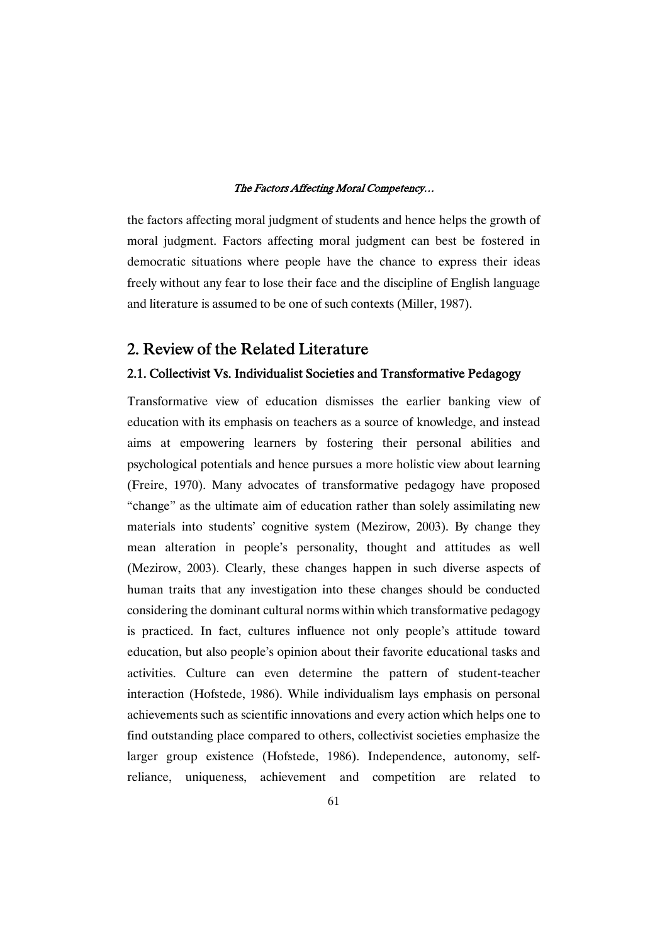the factors affecting moral judgment of students and hence helps the growth of moral judgment. Factors affecting moral judgment can best be fostered in democratic situations where people have the chance to express their ideas freely without any fear to lose their face and the discipline of English language and literature is assumed to be one of such contexts (Miller, 1987).

# 2. Review of the Related Literature

### 2.1. Collectivist Vs. Individualist Societies and Transformative Pedagogy

Transformative view of education dismisses the earlier banking view of education with its emphasis on teachers as a source of knowledge, and instead aims at empowering learners by fostering their personal abilities and psychological potentials and hence pursues a more holistic view about learning (Freire, 1970). Many advocates of transformative pedagogy have proposed "change" as the ultimate aim of education rather than solely assimilating new materials into students' cognitive system (Mezirow, 2003). By change they mean alteration in people's personality, thought and attitudes as well (Mezirow, 2003). Clearly, these changes happen in such diverse aspects of human traits that any investigation into these changes should be conducted considering the dominant cultural norms within which transformative pedagogy is practiced. In fact, cultures influence not only people's attitude toward education, but also people's opinion about their favorite educational tasks and activities. Culture can even determine the pattern of student-teacher interaction (Hofstede, 1986). While individualism lays emphasis on personal achievements such as scientific innovations and every action which helps one to find outstanding place compared to others, collectivist societies emphasize the larger group existence (Hofstede, 1986). Independence, autonomy, selfreliance, uniqueness, achievement and competition are related to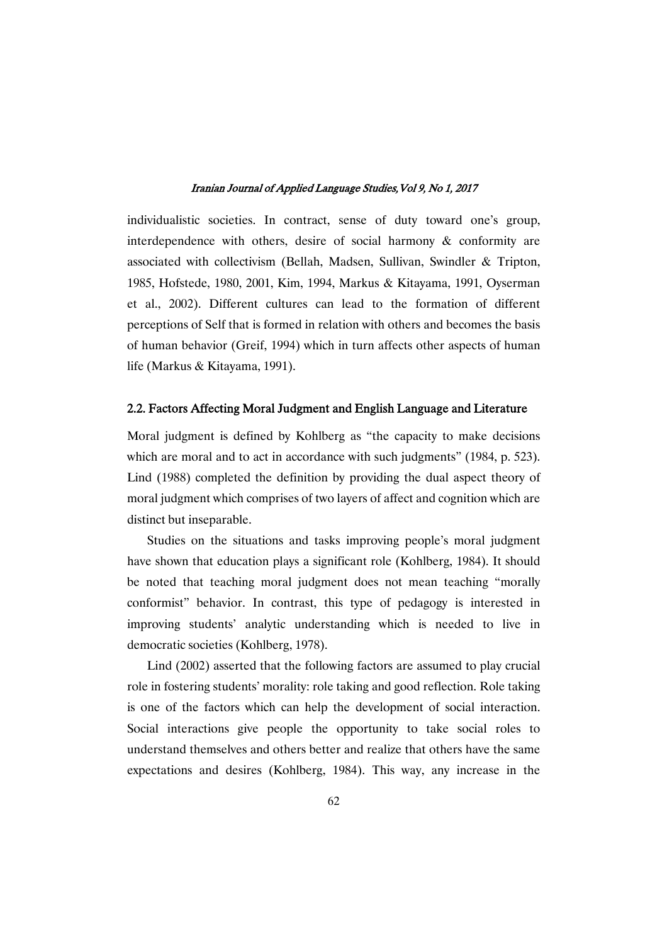individualistic societies. In contract, sense of duty toward one's group, interdependence with others, desire of social harmony & conformity are associated with collectivism (Bellah, Madsen, Sullivan, Swindler & Tripton, 1985, Hofstede, 1980, 2001, Kim, 1994, Markus & Kitayama, 1991, Oyserman et al., 2002). Different cultures can lead to the formation of different perceptions of Self that is formed in relation with others and becomes the basis of human behavior (Greif, 1994) which in turn affects other aspects of human life (Markus & Kitayama, 1991).

### 2.2. Factors Affecting Moral Judgment and English Language and Literature

Moral judgment is defined by Kohlberg as "the capacity to make decisions which are moral and to act in accordance with such judgments" (1984, p. 523). Lind (1988) completed the definition by providing the dual aspect theory of moral judgment which comprises of two layers of affect and cognition which are distinct but inseparable.

Studies on the situations and tasks improving people's moral judgment have shown that education plays a significant role (Kohlberg, 1984). It should be noted that teaching moral judgment does not mean teaching "morally conformist" behavior. In contrast, this type of pedagogy is interested in improving students' analytic understanding which is needed to live in democratic societies (Kohlberg, 1978).

Lind (2002) asserted that the following factors are assumed to play crucial role in fostering students' morality: role taking and good reflection. Role taking is one of the factors which can help the development of social interaction. Social interactions give people the opportunity to take social roles to understand themselves and others better and realize that others have the same expectations and desires (Kohlberg, 1984). This way, any increase in the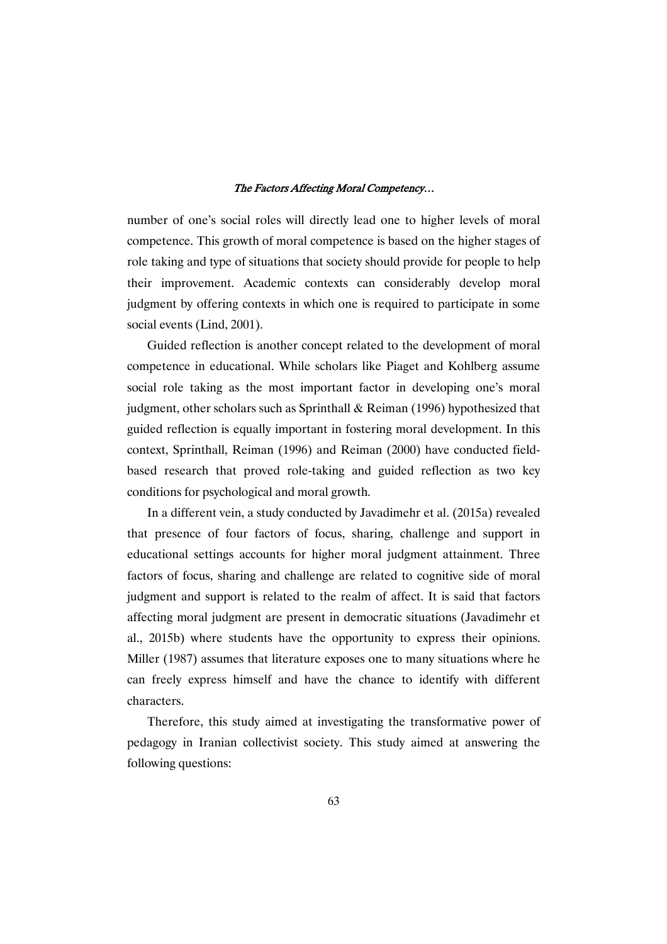number of one's social roles will directly lead one to higher levels of moral competence. This growth of moral competence is based on the higher stages of role taking and type of situations that society should provide for people to help their improvement. Academic contexts can considerably develop moral judgment by offering contexts in which one is required to participate in some social events (Lind, 2001).

Guided reflection is another concept related to the development of moral competence in educational. While scholars like Piaget and Kohlberg assume social role taking as the most important factor in developing one's moral judgment, other scholars such as Sprinthall & Reiman (1996) hypothesized that guided reflection is equally important in fostering moral development. In this context, Sprinthall, Reiman (1996) and Reiman (2000) have conducted fieldbased research that proved role-taking and guided reflection as two key conditions for psychological and moral growth.

In a different vein, a study conducted by Javadimehr et al. (2015a) revealed that presence of four factors of focus, sharing, challenge and support in educational settings accounts for higher moral judgment attainment. Three factors of focus, sharing and challenge are related to cognitive side of moral judgment and support is related to the realm of affect. It is said that factors affecting moral judgment are present in democratic situations (Javadimehr et al., 2015b) where students have the opportunity to express their opinions. Miller (1987) assumes that literature exposes one to many situations where he can freely express himself and have the chance to identify with different characters.

Therefore, this study aimed at investigating the transformative power of pedagogy in Iranian collectivist society. This study aimed at answering the following questions: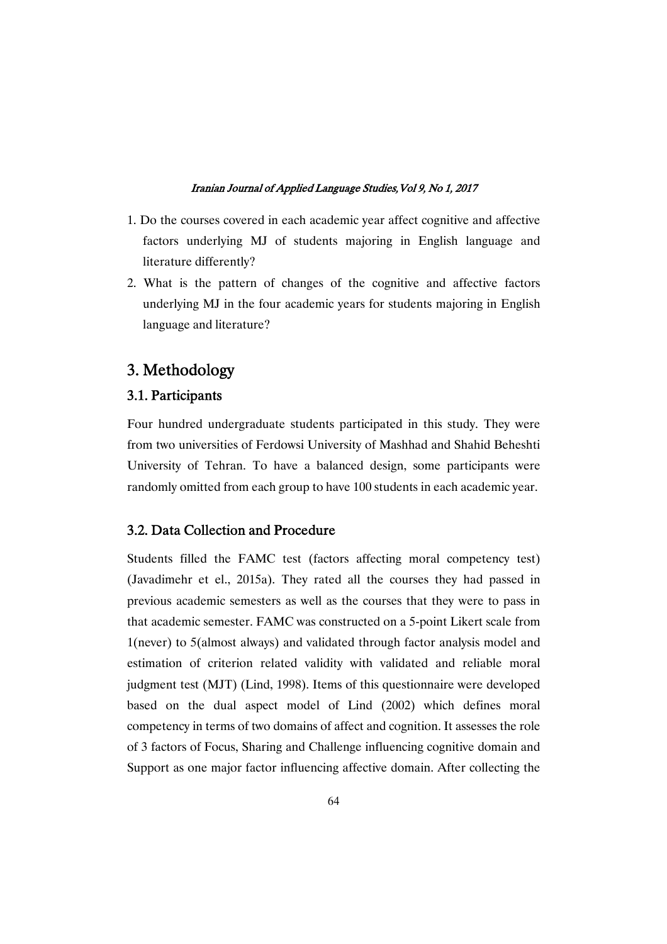- 1. Do the courses covered in each academic year affect cognitive and affective factors underlying MJ of students majoring in English language and literature differently?
- 2. What is the pattern of changes of the cognitive and affective factors underlying MJ in the four academic years for students majoring in English language and literature?

# 3.Methodology

### 3.1.Participants

Four hundred undergraduate students participated in this study. They were from two universities of Ferdowsi University of Mashhad and Shahid Beheshti University of Tehran. To have a balanced design, some participants were randomly omitted from each group to have 100 students in each academic year.

### 3.2. Data Collection and Procedure

Students filled the FAMC test (factors affecting moral competency test) (Javadimehr et el., 2015a). They rated all the courses they had passed in previous academic semesters as well as the courses that they were to pass in that academic semester. FAMC was constructed on a 5-point Likert scale from 1(never) to 5(almost always) and validated through factor analysis model and estimation of criterion related validity with validated and reliable moral judgment test (MJT) (Lind, 1998). Items of this questionnaire were developed based on the dual aspect model of Lind (2002) which defines moral competency in terms of two domains of affect and cognition. It assesses the role of 3 factors of Focus, Sharing and Challenge influencing cognitive domain and Support as one major factor influencing affective domain. After collecting the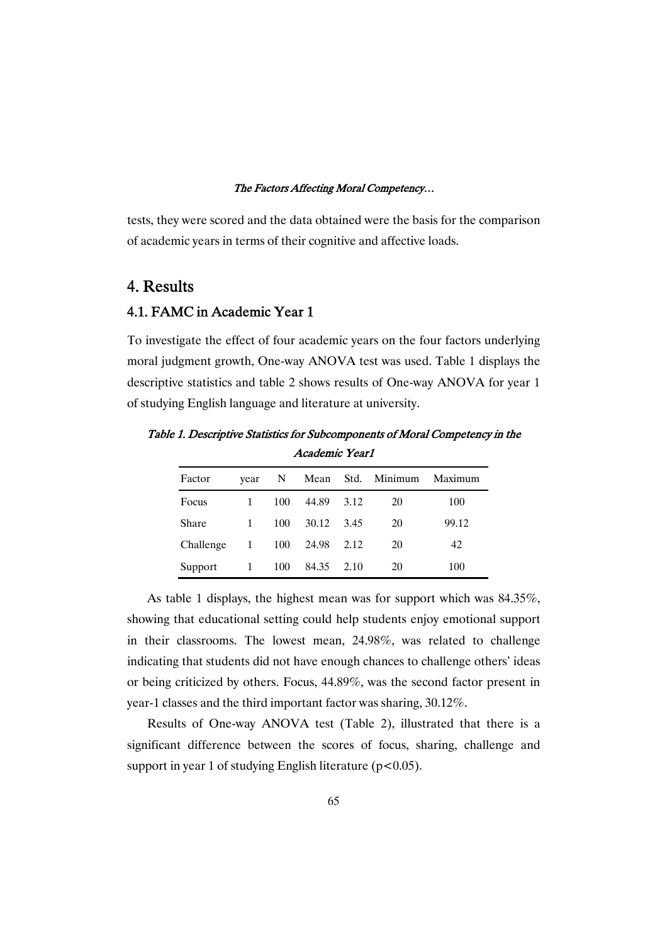tests, they were scored and the data obtained were the basis for the comparison of academic years in terms of their cognitive and affective loads.

# 4.Results

# 4.1. FAMC in Academic Year 1

To investigate the effect of four academic years on the four factors underlying moral judgment growth, One-way ANOVA test was used. Table 1 displays the descriptive statistics and table 2 shows results of One-way ANOVA for year 1 of studying English language and literature at university.

| Academic Yearl |              |     |           |      |                   |         |
|----------------|--------------|-----|-----------|------|-------------------|---------|
| Factor         | year         | N   |           |      | Mean Std. Minimum | Maximum |
| Focus          | $\mathbf{1}$ | 100 | 44.89     | 3.12 | 20                | 100     |
| Share          | $\mathbf{1}$ | 100 | 30.12     | 3.45 | 20                | 99.12   |
| Challenge      | 1            |     | 100 24.98 | 2.12 | 20                | 42      |
| Support        | 1            | 100 | 84.35     | 2.10 | 20                | 100     |

Table 1. Descriptive Statistics for Subcomponents of Moral Competency in the Academic Year1

As table 1 displays, the highest mean was for support which was 84.35%, showing that educational setting could help students enjoy emotional support in their classrooms. The lowest mean, 24.98%, was related to challenge indicating that students did not have enough chances to challenge others' ideas or being criticized by others. Focus, 44.89%, was the second factor present in year-1 classes and the third important factor was sharing, 30.12%.

Results of One-way ANOVA test (Table 2), illustrated that there is a significant difference between the scores of focus, sharing, challenge and support in year 1 of studying English literature ( $p < 0.05$ ).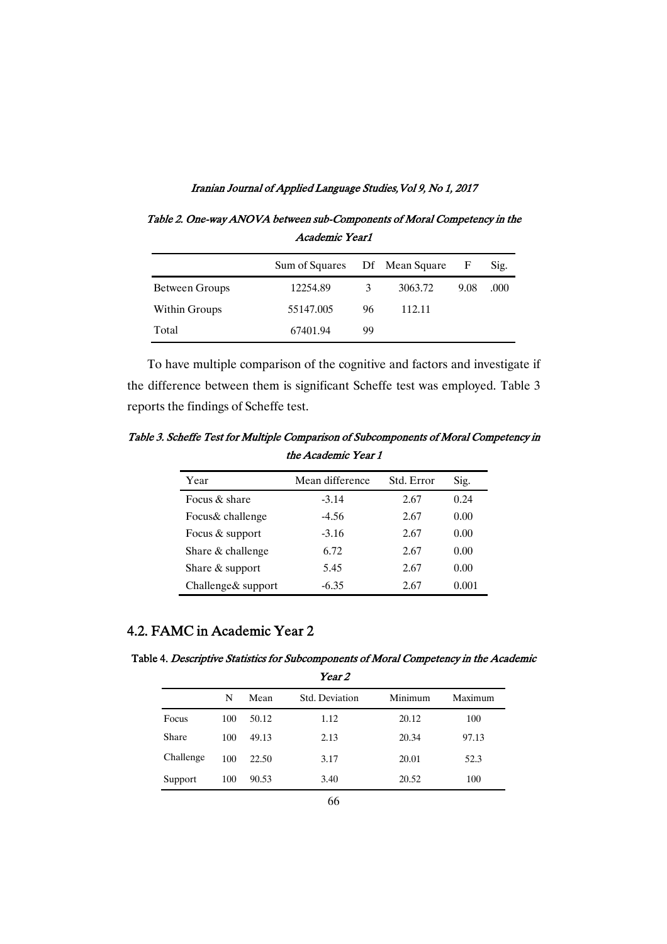Table 2. One-way ANOVA between sub-Components of Moral Competency in the Academic Year1

|                | Sum of Squares |    | Df Mean Square | F    | Sig. |
|----------------|----------------|----|----------------|------|------|
| Between Groups | 12254.89       | 3  | 3063.72        | 9.08 | .000 |
| Within Groups  | 55147.005      | 96 | 112.11         |      |      |
| Total          | 67401.94       | 99 |                |      |      |

To have multiple comparison of the cognitive and factors and investigate if the difference between them is significant Scheffe test was employed. Table 3 reports the findings of Scheffe test.

Table 3. Scheffe Test for Multiple Comparison of Subcomponents of Moral Competency in the Academic Year 1

| Year                | Mean difference | Std. Error | Sig.  |
|---------------------|-----------------|------------|-------|
| Focus $\&$ share    | $-3.14$         | 2.67       | 0.24  |
| Focus& challenge    | -4.56           | 2.67       | 0.00  |
| Focus & support     | $-3.16$         | 2.67       | 0.00  |
| Share & challenge   | 6.72            | 2.67       | 0.00  |
| Share $&$ support   | 5.45            | 2.67       | 0.00  |
| Challenge & support | $-6.35$         | 2.67       | 0.001 |

### 4.2. FAMC in Academic Year 2

Table 4. Descriptive Statistics for Subcomponents of Moral Competency in the Academic

|           |     |       | Year 2         |         |         |
|-----------|-----|-------|----------------|---------|---------|
|           | N   | Mean  | Std. Deviation | Minimum | Maximum |
| Focus     | 100 | 50.12 | 1.12           | 20.12   | 100     |
| Share     | 100 | 49.13 | 2.13           | 20.34   | 97.13   |
| Challenge | 100 | 22.50 | 3.17           | 20.01   | 52.3    |
| Support   | 100 | 90.53 | 3.40           | 20.52   | 100     |
|           |     |       |                |         |         |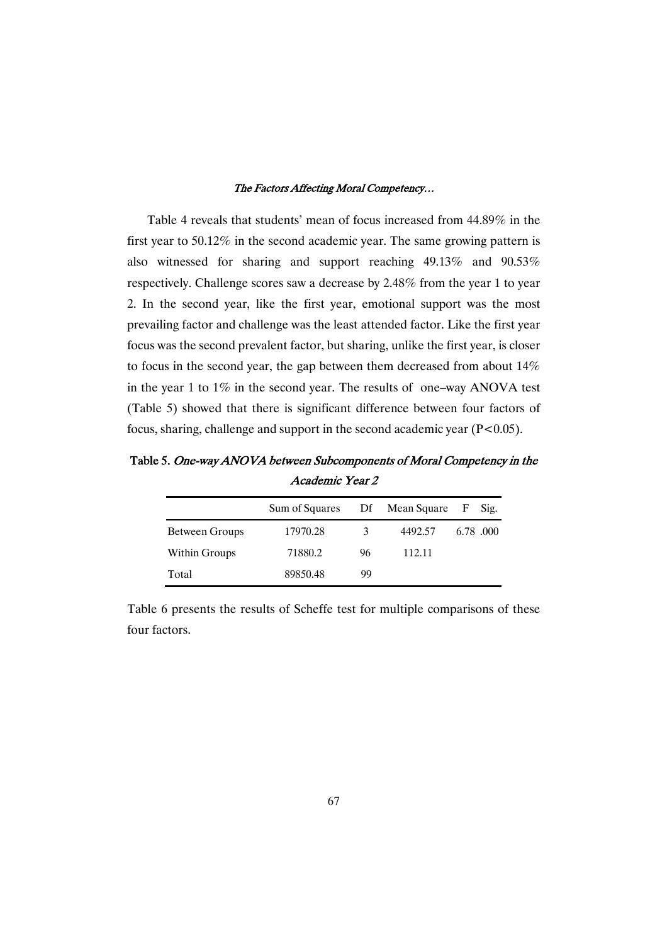Table 4 reveals that students' mean of focus increased from 44.89% in the first year to 50.12% in the second academic year. The same growing pattern is also witnessed for sharing and support reaching 49.13% and 90.53% respectively. Challenge scores saw a decrease by 2.48% from the year 1 to year 2. In the second year, like the first year, emotional support was the most prevailing factor and challenge was the least attended factor. Like the first year focus was the second prevalent factor, but sharing, unlike the first year, is closer to focus in the second year, the gap between them decreased from about 14% in the year 1 to 1% in the second year. The results of one–way ANOVA test (Table 5) showed that there is significant difference between four factors of focus, sharing, challenge and support in the second academic year  $(P<0.05)$ .

Table 5. One-way ANOVA between Subcomponents of Moral Competency in the Academic Year 2

|                | Sum of Squares |    | Df Mean Square | $\mathbf{F}$ | Sig.     |
|----------------|----------------|----|----------------|--------------|----------|
| Between Groups | 17970.28       | 3  | 4492.57        |              | 6.78.000 |
| Within Groups  | 71880.2        | 96 | 112.11         |              |          |
| Total          | 89850.48       | 99 |                |              |          |

Table 6 presents the results of Scheffe test for multiple comparisons of these four factors.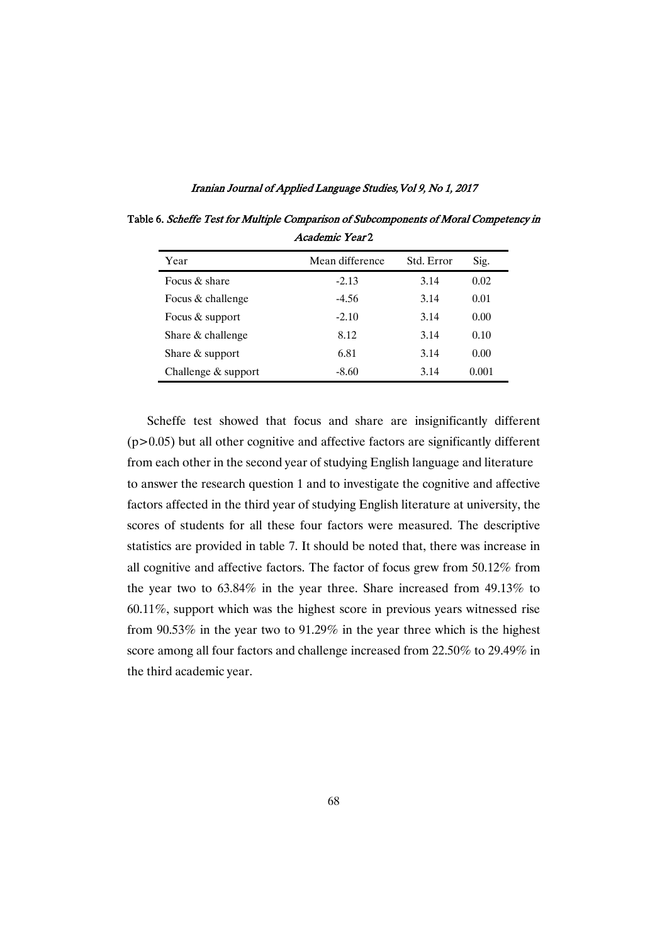| Year                | Mean difference | Std. Error | Sig.  |
|---------------------|-----------------|------------|-------|
| Focus & share       | $-2.13$         | 3.14       | 0.02  |
| Focus & challenge   | $-4.56$         | 3.14       | 0.01  |
| Focus & support     | $-2.10$         | 3.14       | 0.00  |
| Share & challenge   | 8.12            | 3.14       | 0.10  |
| Share $&$ support   | 6.81            | 3.14       | 0.00  |
| Challenge & support | $-8.60$         | 3.14       | 0.001 |

Table 6. Scheffe Test for Multiple Comparison of Subcomponents of Moral Competency in Academic Year<sub>2</sub>

Scheffe test showed that focus and share are insignificantly different  $(p>0.05)$  but all other cognitive and affective factors are significantly different from each other in the second year of studying English language and literature to answer the research question 1 and to investigate the cognitive and affective factors affected in the third year of studying English literature at university, the scores of students for all these four factors were measured. The descriptive statistics are provided in table 7. It should be noted that, there was increase in all cognitive and affective factors. The factor of focus grew from 50.12% from the year two to 63.84% in the year three. Share increased from 49.13% to 60.11%, support which was the highest score in previous years witnessed rise from 90.53% in the year two to 91.29% in the year three which is the highest score among all four factors and challenge increased from 22.50% to 29.49% in the third academic year.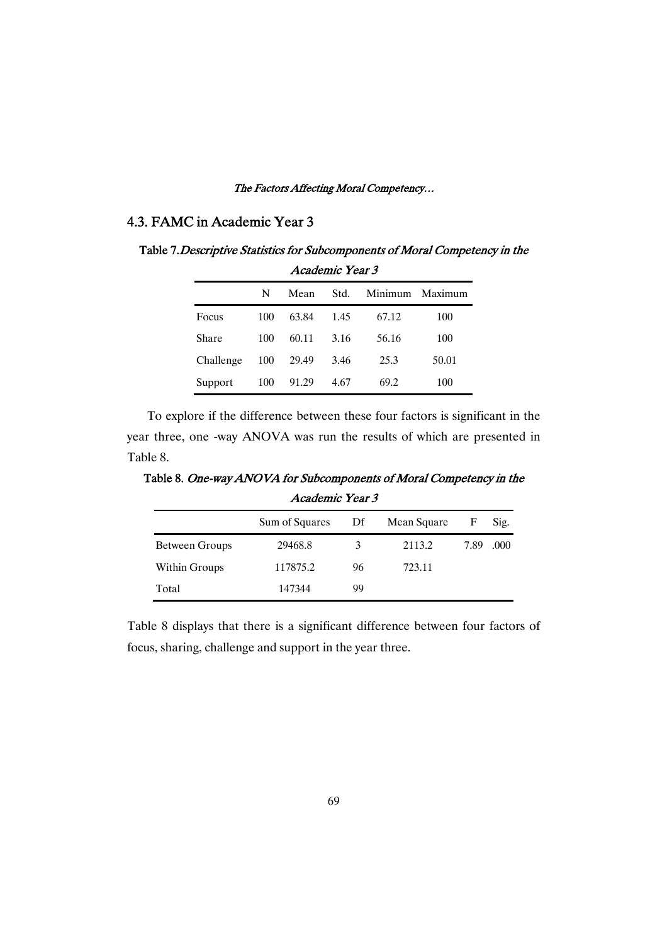### 4.3. FAMC in Academic Year 3

Table 7. Descriptive Statistics for Subcomponents of Moral Competency in the AcademicYear3

|           | ліайснік театэ |       |      |       |                 |  |  |
|-----------|----------------|-------|------|-------|-----------------|--|--|
|           | N              | Mean  | Std. |       | Minimum Maximum |  |  |
| Focus     | 100            | 63.84 | 1.45 | 67.12 | 100             |  |  |
| Share     | 100            | 60.11 | 3.16 | 56.16 | 100             |  |  |
| Challenge | 100            | 29.49 | 3.46 | 25.3  | 50.01           |  |  |
| Support   | 100            | 91.29 | 4.67 | 69.2  | 100             |  |  |

To explore if the difference between these four factors is significant in the year three, one -way ANOVA was run the results of which are presented in Table 8.

Table 8. One-way ANOVA for Subcomponents of Moral Competency in the Academic Year 3

|                | Sum of Squares | Df | Mean Square | F    | Sig. |
|----------------|----------------|----|-------------|------|------|
| Between Groups | 29468.8        | 3  | 2113.2      | 7.89 | .000 |
| Within Groups  | 117875.2       | 96 | 723.11      |      |      |
| Total          | 147344         | 99 |             |      |      |

Table 8 displays that there is a significant difference between four factors of focus, sharing, challenge and support in the year three.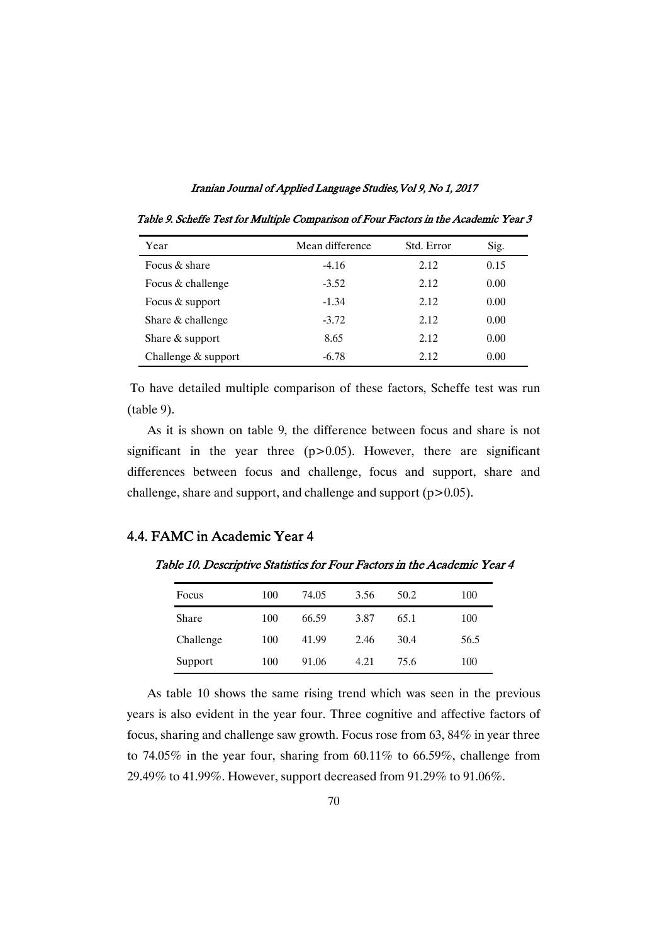| Year                  | Mean difference | Std. Error | Sig. |
|-----------------------|-----------------|------------|------|
| Focus & share         | $-4.16$         | 2.12       | 0.15 |
| Focus & challenge     | $-3.52$         | 2.12       | 0.00 |
| Focus & support       | $-1.34$         | 2.12       | 0.00 |
| Share & challenge     | $-3.72$         | 2.12       | 0.00 |
| Share $&$ support     | 8.65            | 2.12       | 0.00 |
| Challenge $&$ support | $-6.78$         | 2.12       | 0.00 |

Table 9. Scheffe Test for Multiple Comparison of Four Factors in the Academic Year 3

To have detailed multiple comparison of these factors, Scheffe test was run (table 9).

As it is shown on table 9, the difference between focus and share is not significant in the year three  $(p>0.05)$ . However, there are significant differences between focus and challenge, focus and support, share and challenge, share and support, and challenge and support (p>0.05).

### 4.4. FAMC in Academic Year 4

Table 10. Descriptive Statistics for Four Factors in the Academic Year 4

| Focus     | 100 | 74.05 | 3.56 | 50.2 | 100  |
|-----------|-----|-------|------|------|------|
| Share     | 100 | 66.59 | 3.87 | 65.1 | 100  |
| Challenge | 100 | 41.99 | 2.46 | 30.4 | 56.5 |
| Support   | 100 | 91.06 | 4.21 | 75.6 | 100  |

As table 10 shows the same rising trend which was seen in the previous years is also evident in the year four. Three cognitive and affective factors of focus, sharing and challenge saw growth. Focus rose from 63, 84% in year three to 74.05% in the year four, sharing from 60.11% to 66.59%, challenge from 29.49% to 41.99%. However, support decreased from 91.29% to 91.06%.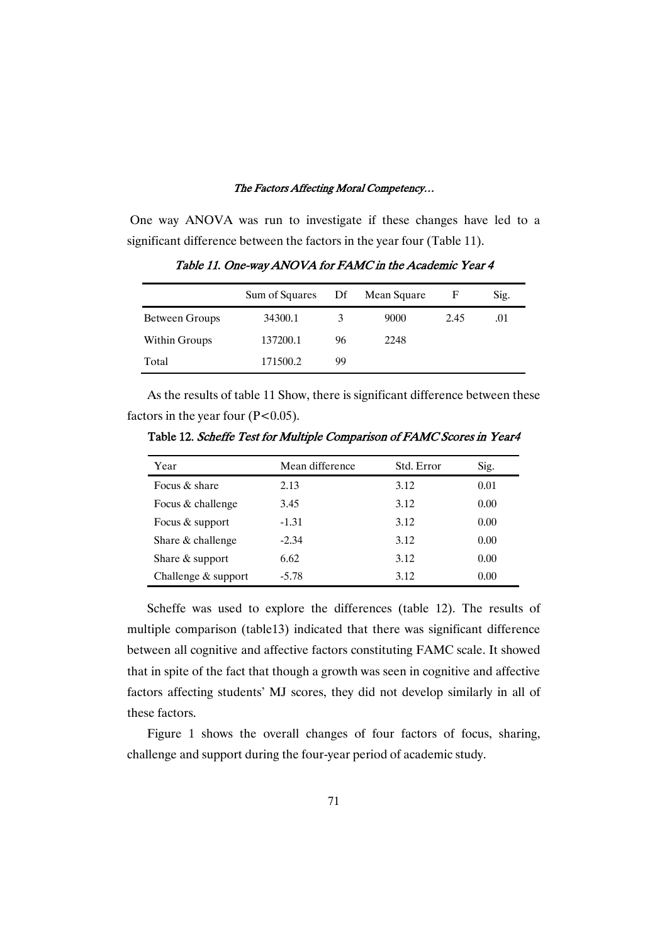One way ANOVA was run to investigate if these changes have led to a significant difference between the factors in the year four (Table 11).

|                | Sum of Squares | Df | Mean Square | F    | Sig. |
|----------------|----------------|----|-------------|------|------|
| Between Groups | 34300.1        |    | 9000        | 2.45 | .01  |
| Within Groups  | 137200.1       | 96 | 2248        |      |      |
| Total          | 171500.2       | 99 |             |      |      |

Table 11. One-way ANOVA for FAMC in the Academic Year 4

As the results of table 11 Show, there is significant difference between these factors in the year four  $(P<0.05)$ .

| Year                  | Mean difference | Std. Error | Sig. |
|-----------------------|-----------------|------------|------|
| Focus $\&$ share      | 2.13            | 3.12       | 0.01 |
| Focus & challenge     | 3.45            | 3.12       | 0.00 |
| Focus & support       | $-1.31$         | 3.12       | 0.00 |
| Share & challenge     | $-2.34$         | 3.12       | 0.00 |
| Share $&$ support     | 6.62            | 3.12       | 0.00 |
| Challenge $&$ support | $-5.78$         | 3.12       | 0.00 |

Table 12. Scheffe Test for Multiple Comparison of FAMC Scores in Year4

Scheffe was used to explore the differences (table 12). The results of multiple comparison (table13) indicated that there was significant difference between all cognitive and affective factors constituting FAMC scale. It showed that in spite of the fact that though a growth was seen in cognitive and affective factors affecting students' MJ scores, they did not develop similarly in all of these factors.

Figure 1 shows the overall changes of four factors of focus, sharing, challenge and support during the four-year period of academic study.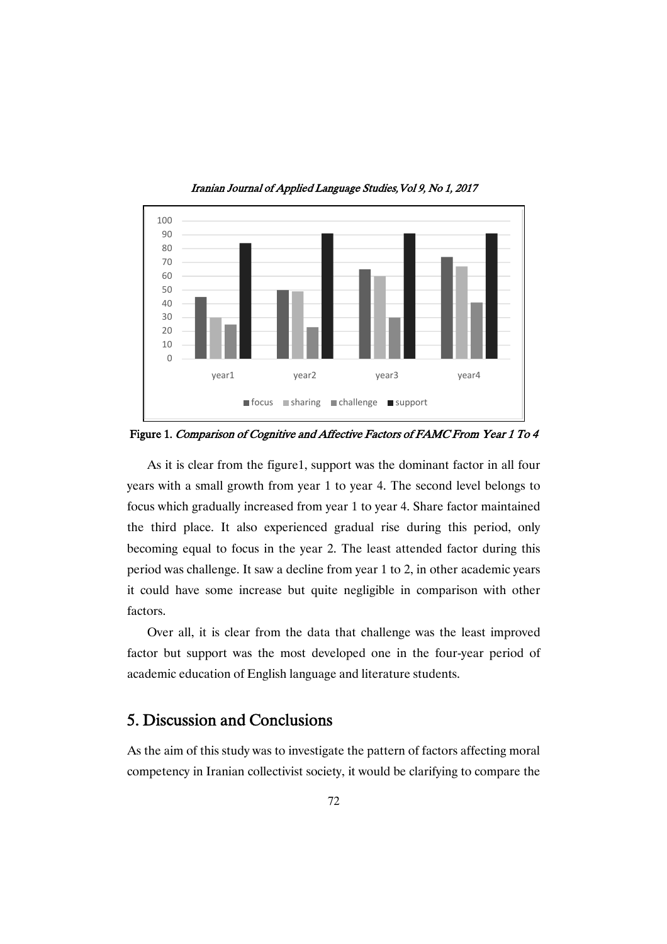

Iranian Journal of Applied Language Studies, Vol 9, No 1, 2017

Figure 1. Comparison of Cognitive and Affective Factors of FAMC From Year 1 To 4

As it is clear from the figure1, support was the dominant factor in all four years with a small growth from year 1 to year 4. The second level belongs to focus which gradually increased from year 1 to year 4. Share factor maintained the third place. It also experienced gradual rise during this period, only becoming equal to focus in the year 2. The least attended factor during this period was challenge. It saw a decline from year 1 to 2, in other academic years it could have some increase but quite negligible in comparison with other factors.

Over all, it is clear from the data that challenge was the least improved factor but support was the most developed one in the four-year period of academic education of English language and literature students.

# 5. Discussion and Conclusions

As the aim of this study was to investigate the pattern of factors affecting moral competency in Iranian collectivist society, it would be clarifying to compare the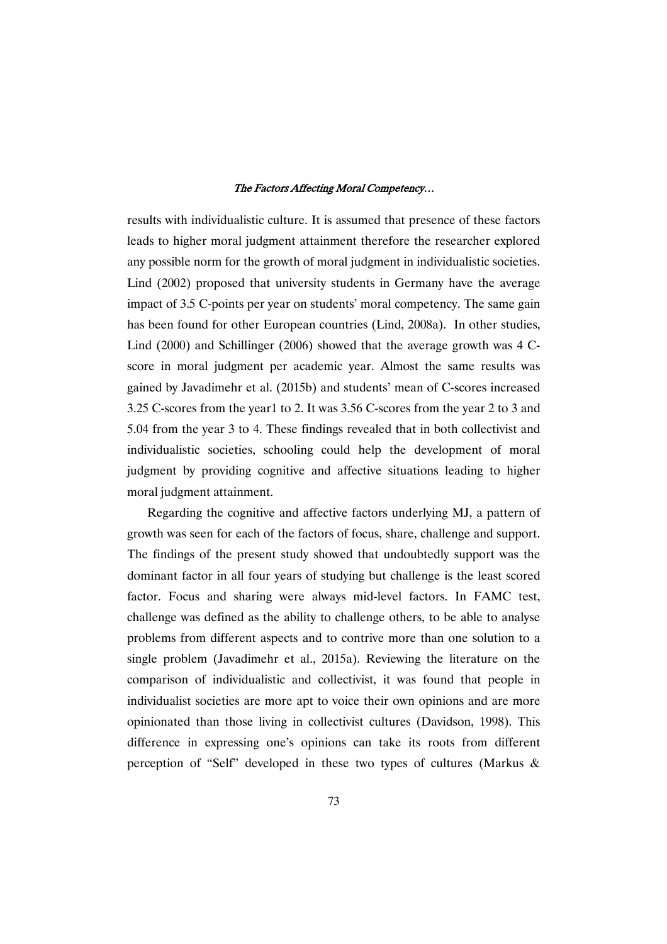results with individualistic culture. It is assumed that presence of these factors leads to higher moral judgment attainment therefore the researcher explored any possible norm for the growth of moral judgment in individualistic societies. Lind (2002) proposed that university students in Germany have the average impact of 3.5 C-points per year on students' moral competency. The same gain has been found for other European countries (Lind, 2008a). In other studies, Lind (2000) and Schillinger (2006) showed that the average growth was 4 Cscore in moral judgment per academic year. Almost the same results was gained by Javadimehr et al. (2015b) and students' mean of C-scores increased 3.25 C-scores from the year1 to 2. It was 3.56 C-scores from the year 2 to 3 and 5.04 from the year 3 to 4. These findings revealed that in both collectivist and individualistic societies, schooling could help the development of moral judgment by providing cognitive and affective situations leading to higher moral judgment attainment.

Regarding the cognitive and affective factors underlying MJ, a pattern of growth was seen for each of the factors of focus, share, challenge and support. The findings of the present study showed that undoubtedly support was the dominant factor in all four years of studying but challenge is the least scored factor. Focus and sharing were always mid-level factors. In FAMC test, challenge was defined as the ability to challenge others, to be able to analyse problems from different aspects and to contrive more than one solution to a single problem (Javadimehr et al., 2015a). Reviewing the literature on the comparison of individualistic and collectivist, it was found that people in individualist societies are more apt to voice their own opinions and are more opinionated than those living in collectivist cultures (Davidson, 1998). This difference in expressing one's opinions can take its roots from different perception of "Self" developed in these two types of cultures (Markus &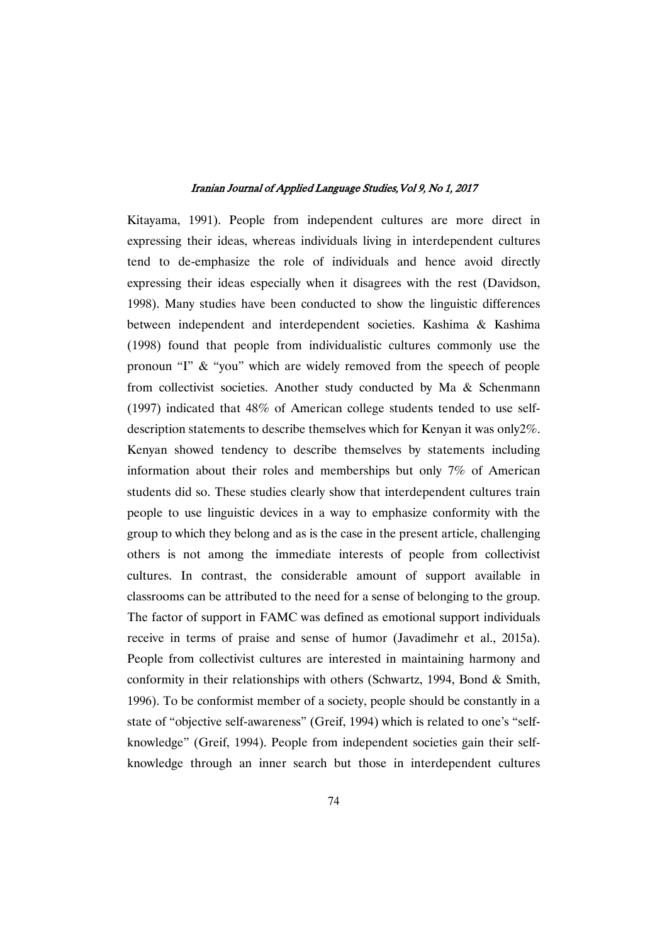Kitayama, 1991). People from independent cultures are more direct in expressing their ideas, whereas individuals living in interdependent cultures tend to de-emphasize the role of individuals and hence avoid directly expressing their ideas especially when it disagrees with the rest (Davidson, 1998). Many studies have been conducted to show the linguistic differences between independent and interdependent societies. Kashima & Kashima (1998) found that people from individualistic cultures commonly use the pronoun "I" & "you" which are widely removed from the speech of people from collectivist societies. Another study conducted by Ma & Schenmann (1997) indicated that 48% of American college students tended to use selfdescription statements to describe themselves which for Kenyan it was only2%. Kenyan showed tendency to describe themselves by statements including information about their roles and memberships but only 7% of American students did so. These studies clearly show that interdependent cultures train people to use linguistic devices in a way to emphasize conformity with the group to which they belong and as is the case in the present article, challenging others is not among the immediate interests of people from collectivist cultures. In contrast, the considerable amount of support available in classrooms can be attributed to the need for a sense of belonging to the group. The factor of support in FAMC was defined as emotional support individuals receive in terms of praise and sense of humor (Javadimehr et al., 2015a). People from collectivist cultures are interested in maintaining harmony and conformity in their relationships with others (Schwartz, 1994, Bond & Smith, 1996). To be conformist member of a society, people should be constantly in a state of "objective self-awareness" (Greif, 1994) which is related to one's "selfknowledge" (Greif, 1994). People from independent societies gain their selfknowledge through an inner search but those in interdependent cultures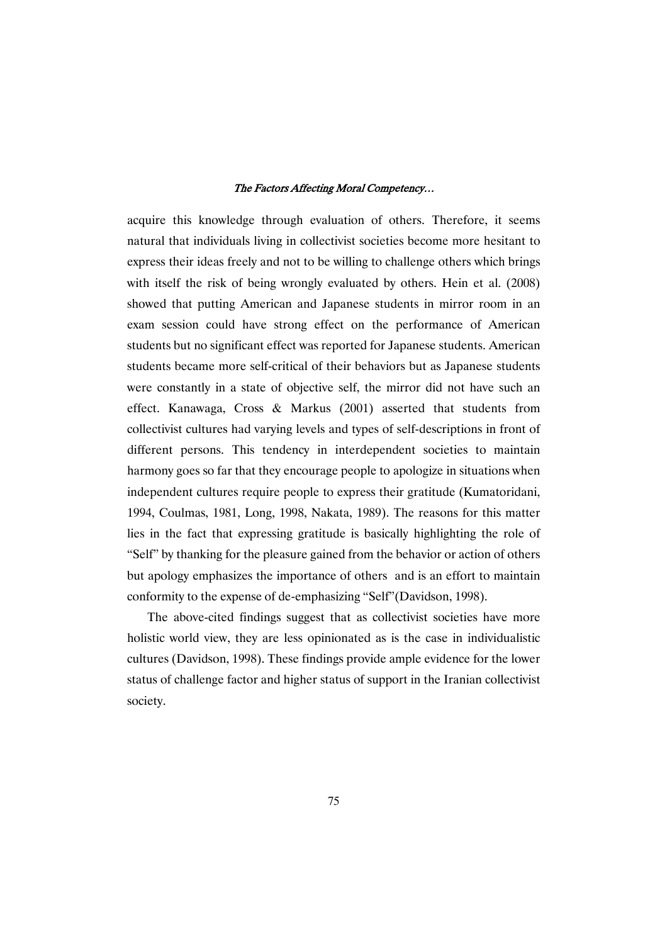acquire this knowledge through evaluation of others. Therefore, it seems natural that individuals living in collectivist societies become more hesitant to express their ideas freely and not to be willing to challenge others which brings with itself the risk of being wrongly evaluated by others. Hein et al. (2008) showed that putting American and Japanese students in mirror room in an exam session could have strong effect on the performance of American students but no significant effect was reported for Japanese students. American students became more self-critical of their behaviors but as Japanese students were constantly in a state of objective self, the mirror did not have such an effect. Kanawaga, Cross & Markus (2001) asserted that students from collectivist cultures had varying levels and types of self-descriptions in front of different persons. This tendency in interdependent societies to maintain harmony goes so far that they encourage people to apologize in situations when independent cultures require people to express their gratitude (Kumatoridani, 1994, Coulmas, 1981, Long, 1998, Nakata, 1989). The reasons for this matter lies in the fact that expressing gratitude is basically highlighting the role of "Self" by thanking for the pleasure gained from the behavior or action of others but apology emphasizes the importance of others and is an effort to maintain conformity to the expense of de-emphasizing "Self"(Davidson, 1998).

The above-cited findings suggest that as collectivist societies have more holistic world view, they are less opinionated as is the case in individualistic cultures (Davidson, 1998). These findings provide ample evidence for the lower status of challenge factor and higher status of support in the Iranian collectivist society.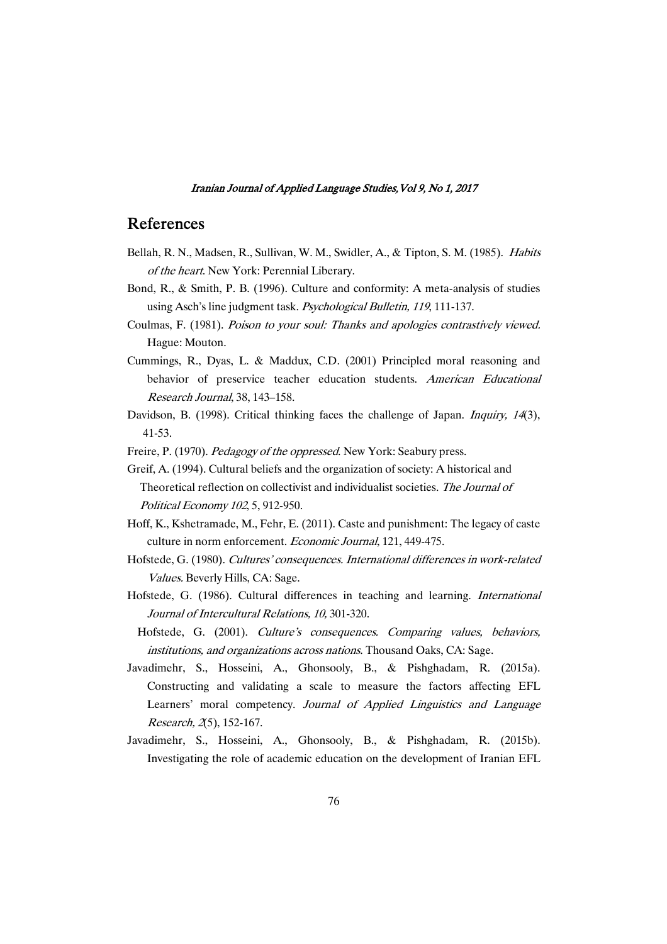### References

- Bellah, R. N., Madsen, R., Sullivan, W. M., Swidler, A., & Tipton, S. M. (1985). Habits of the heart. New York: Perennial Liberary.
- Bond, R., & Smith, P. B. (1996). Culture and conformity: A meta-analysis of studies using Asch's line judgment task. Psychological Bulletin, <sup>119</sup>, 111-137.
- Coulmas, F. (1981). Poison to your soul: Thanks and apologies contrastively viewed. Hague: Mouton.
- Cummings, R., Dyas, L. & Maddux, C.D. (2001) Principled moral reasoning and behavior of preservice teacher education students. American Educational Research Journal, 38, 143–158.
- Davidson, B. (1998). Critical thinking faces the challenge of Japan. *Inquiry, 14*(3), 41-53.
- Freire, P. (1970). Pedagogy of the oppressed. New York: Seabury press.
- Greif, A. (1994). Cultural beliefs and the organization of society: A historical and Theoretical reflection on collectivist and individualist societies. The Journal of Political Economy <sup>102</sup>, 5, 912-950.
- Hoff, K., Kshetramade, M., Fehr, E. (2011). Caste and punishment: The legacy of caste culture in norm enforcement. Economic Journal, 121, 449-475.
- Hofstede, G. (1980). Cultures' consequences. International differences in work-related Values. Beverly Hills, CA: Sage.
- Hofstede, G. (1986). Cultural differences in teaching and learning. International Journal of Intercultural Relations, 10, 301-320.
- Hofstede, G. (2001). Culture's consequences. Comparing values, behaviors, institutions, and organizations across nations. Thousand Oaks, CA: Sage.
- Javadimehr, S., Hosseini, A., Ghonsooly, B., & Pishghadam, R. (2015a). Constructing and validating a scale to measure the factors affecting EFL Learners' moral competency. Journal of Applied Linguistics and Language Research, 2(5), 152-167.
- Javadimehr, S., Hosseini, A., Ghonsooly, B., & Pishghadam, R. (2015b). Investigating the role of academic education on the development of Iranian EFL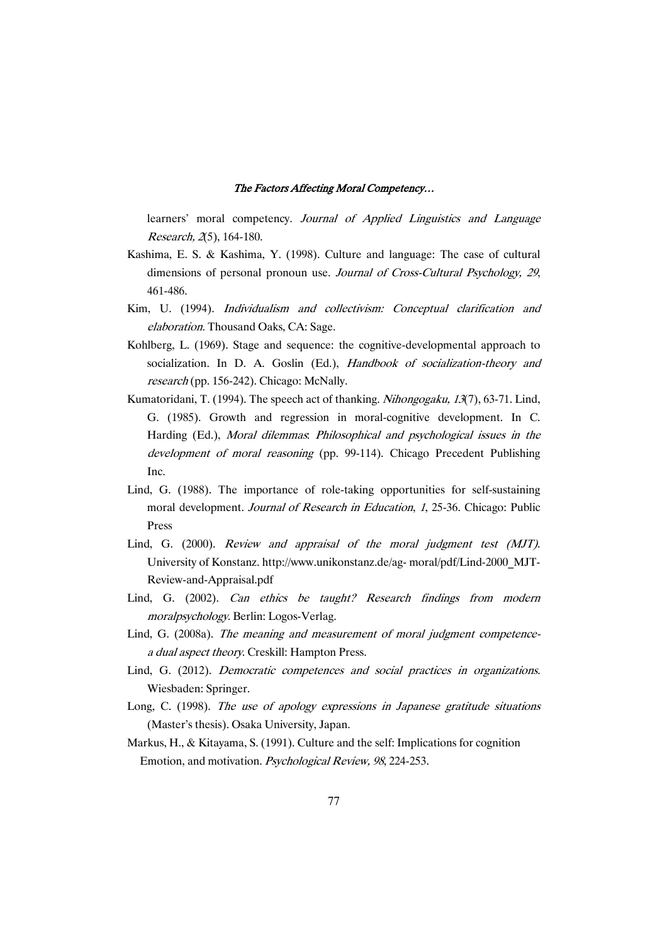learners' moral competency. Journal of Applied Linguistics and Language Research, 2(5), 164-180.

- Kashima, E. S. & Kashima, Y. (1998). Culture and language: The case of cultural dimensions of personal pronoun use. Journal of Cross-Cultural Psychology, <sup>29</sup>, 461-486.
- Kim, U. (1994). Individualism and collectivism: Conceptual clarification and elaboration. Thousand Oaks, CA: Sage.
- Kohlberg, L. (1969). Stage and sequence: the cognitive-developmental approach to socialization. In D. A. Goslin (Ed.), Handbook of socialization-theory and research (pp. 156-242). Chicago: McNally.
- Kumatoridani, T. (1994). The speech act of thanking. *Nihongogaku, 13*(7), 63-71. Lind, G. (1985). Growth and regression in moral-cognitive development. In C. Harding (Ed.), Moral dilemmas: Philosophical and psychological issues in the development of moral reasoning (pp. 99-114). Chicago Precedent Publishing Inc.
- Lind, G. (1988). The importance of role-taking opportunities for self-sustaining moral development. Journal of Research in Education, 1, 25-36. Chicago: Public Press
- Lind, G. (2000). Review and appraisal of the moral judgment test (MJT). University of Konstanz. http://www.unikonstanz.de/ag- moral/pdf/Lind-2000\_MJT-Review-and-Appraisal.pdf
- Lind, G. (2002). Can ethics be taught? Research findings from modern moralpsychology. Berlin: Logos-Verlag.
- Lind, G. (2008a). The meaning and measurement of moral judgment competence<sup>a</sup> dual aspect theory. Creskill: Hampton Press.
- Lind, G. (2012). Democratic competences and social practices in organizations. Wiesbaden: Springer.
- Long, C. (1998). The use of apology expressions in Japanese gratitude situations (Master's thesis). Osaka University, Japan.
- Markus, H., & Kitayama, S. (1991). Culture and the self: Implications for cognition Emotion, and motivation. Psychological Review, <sup>98</sup>, 224-253.